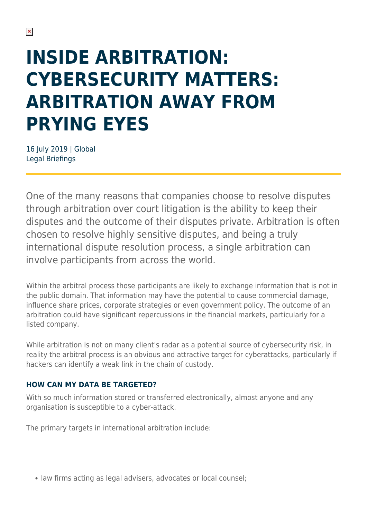# **INSIDE ARBITRATION: CYBERSECURITY MATTERS: ARBITRATION AWAY FROM PRYING EYES**

16 July 2019 | Global Legal Briefings

One of the many reasons that companies choose to resolve disputes through arbitration over court litigation is the ability to keep their disputes and the outcome of their disputes private. Arbitration is often chosen to resolve highly sensitive disputes, and being a truly international dispute resolution process, a single arbitration can involve participants from across the world.

Within the arbitral process those participants are likely to exchange information that is not in the public domain. That information may have the potential to cause commercial damage, influence share prices, corporate strategies or even government policy. The outcome of an arbitration could have significant repercussions in the financial markets, particularly for a listed company.

While arbitration is not on many client's radar as a potential source of cybersecurity risk, in reality the arbitral process is an obvious and attractive target for cyberattacks, particularly if hackers can identify a weak link in the chain of custody.

#### **HOW CAN MY DATA BE TARGETED?**

With so much information stored or transferred electronically, almost anyone and any organisation is susceptible to a cyber-attack.

The primary targets in international arbitration include:

• law firms acting as legal advisers, advocates or local counsel;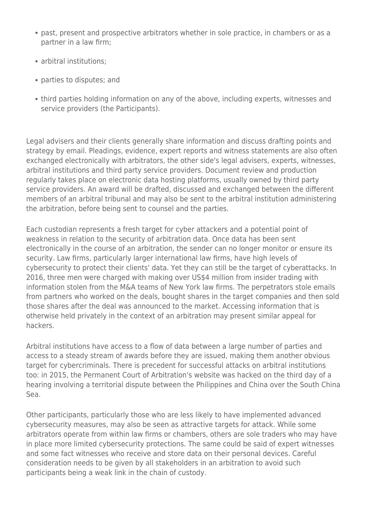- past, present and prospective arbitrators whether in sole practice, in chambers or as a partner in a law firm;
- arbitral institutions:
- parties to disputes; and
- third parties holding information on any of the above, including experts, witnesses and service providers (the Participants).

Legal advisers and their clients generally share information and discuss drafting points and strategy by email. Pleadings, evidence, expert reports and witness statements are also often exchanged electronically with arbitrators, the other side's legal advisers, experts, witnesses, arbitral institutions and third party service providers. Document review and production regularly takes place on electronic data hosting platforms, usually owned by third party service providers. An award will be drafted, discussed and exchanged between the different members of an arbitral tribunal and may also be sent to the arbitral institution administering the arbitration, before being sent to counsel and the parties.

Each custodian represents a fresh target for cyber attackers and a potential point of weakness in relation to the security of arbitration data. Once data has been sent electronically in the course of an arbitration, the sender can no longer monitor or ensure its security. Law firms, particularly larger international law firms, have high levels of cybersecurity to protect their clients' data. Yet they can still be the target of cyberattacks. In 2016, three men were charged with making over US\$4 million from insider trading with information stolen from the M&A teams of New York law firms. The perpetrators stole emails from partners who worked on the deals, bought shares in the target companies and then sold those shares after the deal was announced to the market. Accessing information that is otherwise held privately in the context of an arbitration may present similar appeal for hackers.

Arbitral institutions have access to a flow of data between a large number of parties and access to a steady stream of awards before they are issued, making them another obvious target for cybercriminals. There is precedent for successful attacks on arbitral institutions too: in 2015, the Permanent Court of Arbitration's website was hacked on the third day of a hearing involving a territorial dispute between the Philippines and China over the South China Sea.

Other participants, particularly those who are less likely to have implemented advanced cybersecurity measures, may also be seen as attractive targets for attack. While some arbitrators operate from within law firms or chambers, others are sole traders who may have in place more limited cybersecurity protections. The same could be said of expert witnesses and some fact witnesses who receive and store data on their personal devices. Careful consideration needs to be given by all stakeholders in an arbitration to avoid such participants being a weak link in the chain of custody.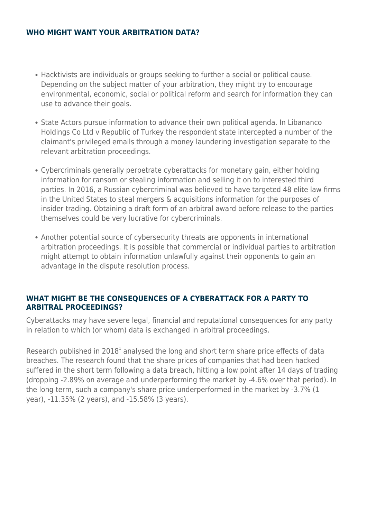#### **WHO MIGHT WANT YOUR ARBITRATION DATA?**

- Hacktivists are individuals or groups seeking to further a social or political cause. Depending on the subject matter of your arbitration, they might try to encourage environmental, economic, social or political reform and search for information they can use to advance their goals.
- State Actors pursue information to advance their own political agenda. In Libananco Holdings Co Ltd v Republic of Turkey the respondent state intercepted a number of the claimant's privileged emails through a money laundering investigation separate to the relevant arbitration proceedings.
- Cybercriminals generally perpetrate cyberattacks for monetary gain, either holding information for ransom or stealing information and selling it on to interested third parties. In 2016, a Russian cybercriminal was believed to have targeted 48 elite law firms in the United States to steal mergers & acquisitions information for the purposes of insider trading. Obtaining a draft form of an arbitral award before release to the parties themselves could be very lucrative for cybercriminals.
- Another potential source of cybersecurity threats are opponents in international arbitration proceedings. It is possible that commercial or individual parties to arbitration might attempt to obtain information unlawfully against their opponents to gain an advantage in the dispute resolution process.

#### **WHAT MIGHT BE THE CONSEQUENCES OF A CYBERATTACK FOR A PARTY TO ARBITRAL PROCEEDINGS?**

Cyberattacks may have severe legal, financial and reputational consequences for any party in relation to which (or whom) data is exchanged in arbitral proceedings.

Research published in 2018<sup>1</sup> analysed the long and short term share price effects of data breaches. The research found that the share prices of companies that had been hacked suffered in the short term following a data breach, hitting a low point after 14 days of trading (dropping -2.89% on average and underperforming the market by -4.6% over that period). In the long term, such a company's share price underperformed in the market by -3.7% (1 year), -11.35% (2 years), and -15.58% (3 years).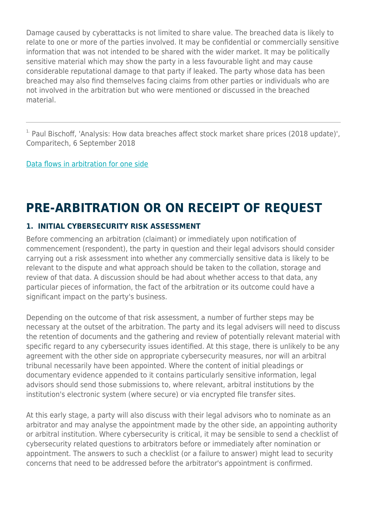Damage caused by cyberattacks is not limited to share value. The breached data is likely to relate to one or more of the parties involved. It may be confidential or commercially sensitive information that was not intended to be shared with the wider market. It may be politically sensitive material which may show the party in a less favourable light and may cause considerable reputational damage to that party if leaked. The party whose data has been breached may also find themselves facing claims from other parties or individuals who are not involved in the arbitration but who were mentioned or discussed in the breached material.

 $1$ . Paul Bischoff, 'Analysis: How data breaches affect stock market share prices (2018 update)', Comparitech, 6 September 2018

[Data flows in arbitration for one side](https://www.herbertsmithfreehills.com/file/36331/download?token=39qiCZ_Q)

### **PRE-ARBITRATION OR ON RECEIPT OF REQUEST**

#### **1. INITIAL CYBERSECURITY RISK ASSESSMENT**

Before commencing an arbitration (claimant) or immediately upon notification of commencement (respondent), the party in question and their legal advisors should consider carrying out a risk assessment into whether any commercially sensitive data is likely to be relevant to the dispute and what approach should be taken to the collation, storage and review of that data. A discussion should be had about whether access to that data, any particular pieces of information, the fact of the arbitration or its outcome could have a significant impact on the party's business.

Depending on the outcome of that risk assessment, a number of further steps may be necessary at the outset of the arbitration. The party and its legal advisers will need to discuss the retention of documents and the gathering and review of potentially relevant material with specific regard to any cybersecurity issues identified. At this stage, there is unlikely to be any agreement with the other side on appropriate cybersecurity measures, nor will an arbitral tribunal necessarily have been appointed. Where the content of initial pleadings or documentary evidence appended to it contains particularly sensitive information, legal advisors should send those submissions to, where relevant, arbitral institutions by the institution's electronic system (where secure) or via encrypted file transfer sites.

At this early stage, a party will also discuss with their legal advisors who to nominate as an arbitrator and may analyse the appointment made by the other side, an appointing authority or arbitral institution. Where cybersecurity is critical, it may be sensible to send a checklist of cybersecurity related questions to arbitrators before or immediately after nomination or appointment. The answers to such a checklist (or a failure to answer) might lead to security concerns that need to be addressed before the arbitrator's appointment is confirmed.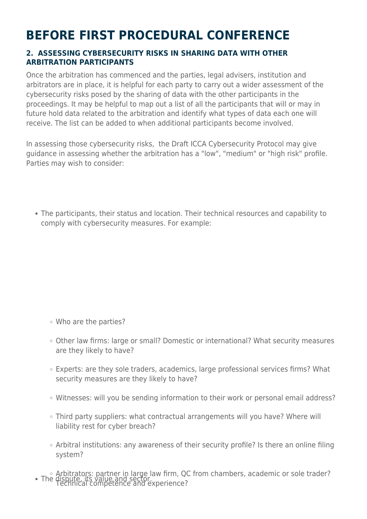## **BEFORE FIRST PROCEDURAL CONFERENCE**

#### **2. ASSESSING CYBERSECURITY RISKS IN SHARING DATA WITH OTHER ARBITRATION PARTICIPANTS**

Once the arbitration has commenced and the parties, legal advisers, institution and arbitrators are in place, it is helpful for each party to carry out a wider assessment of the cybersecurity risks posed by the sharing of data with the other participants in the proceedings. It may be helpful to map out a list of all the participants that will or may in future hold data related to the arbitration and identify what types of data each one will receive. The list can be added to when additional participants become involved.

In assessing those cybersecurity risks, the Draft ICCA Cybersecurity Protocol may give guidance in assessing whether the arbitration has a "low", "medium" or "high risk" profile. Parties may wish to consider:

The participants, their status and location. Their technical resources and capability to comply with cybersecurity measures. For example:

- Who are the parties?
- Other law firms: large or small? Domestic or international? What security measures are they likely to have?
- Experts: are they sole traders, academics, large professional services firms? What security measures are they likely to have?
- Witnesses: will you be sending information to their work or personal email address?
- Third party suppliers: what contractual arrangements will you have? Where will liability rest for cyber breach?
- Arbitral institutions: any awareness of their security profile? Is there an online filing system?
- Arbitrators: partner in large law firm, QC from chambers, academic or sole trader? The dispute, its value and sector. The dispute, its value and sector.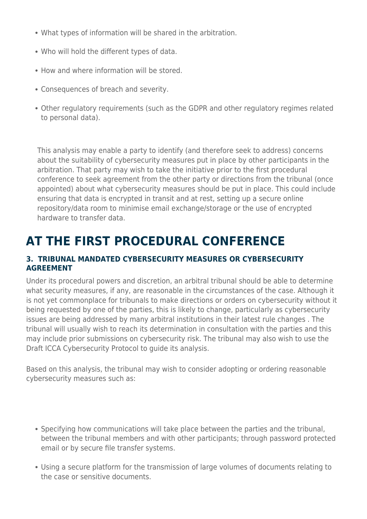- What types of information will be shared in the arbitration.
- Who will hold the different types of data.
- How and where information will be stored.
- Consequences of breach and severity.
- Other regulatory requirements (such as the GDPR and other regulatory regimes related to personal data).

This analysis may enable a party to identify (and therefore seek to address) concerns about the suitability of cybersecurity measures put in place by other participants in the arbitration. That party may wish to take the initiative prior to the first procedural conference to seek agreement from the other party or directions from the tribunal (once appointed) about what cybersecurity measures should be put in place. This could include ensuring that data is encrypted in transit and at rest, setting up a secure online repository/data room to minimise email exchange/storage or the use of encrypted hardware to transfer data.

### **AT THE FIRST PROCEDURAL CONFERENCE**

### **3. TRIBUNAL MANDATED CYBERSECURITY MEASURES OR CYBERSECURITY AGREEMENT**

Under its procedural powers and discretion, an arbitral tribunal should be able to determine what security measures, if any, are reasonable in the circumstances of the case. Although it is not yet commonplace for tribunals to make directions or orders on cybersecurity without it being requested by one of the parties, this is likely to change, particularly as cybersecurity issues are being addressed by many arbitral institutions in their latest rule changes . The tribunal will usually wish to reach its determination in consultation with the parties and this may include prior submissions on cybersecurity risk. The tribunal may also wish to use the Draft ICCA Cybersecurity Protocol to guide its analysis.

Based on this analysis, the tribunal may wish to consider adopting or ordering reasonable cybersecurity measures such as:

- Specifying how communications will take place between the parties and the tribunal, between the tribunal members and with other participants; through password protected email or by secure file transfer systems.
- Using a secure platform for the transmission of large volumes of documents relating to the case or sensitive documents.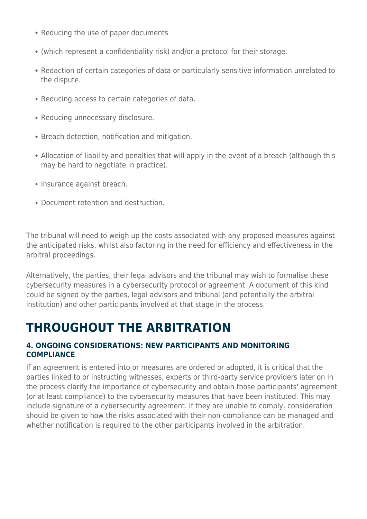- Reducing the use of paper documents
- (which represent a confidentiality risk) and/or a protocol for their storage.
- Redaction of certain categories of data or particularly sensitive information unrelated to the dispute.
- Reducing access to certain categories of data.
- Reducing unnecessary disclosure.
- Breach detection, notification and mitigation.
- Allocation of liability and penalties that will apply in the event of a breach (although this may be hard to negotiate in practice).
- Insurance against breach.
- Document retention and destruction.

The tribunal will need to weigh up the costs associated with any proposed measures against the anticipated risks, whilst also factoring in the need for efficiency and effectiveness in the arbitral proceedings.

Alternatively, the parties, their legal advisors and the tribunal may wish to formalise these cybersecurity measures in a cybersecurity protocol or agreement. A document of this kind could be signed by the parties, legal advisors and tribunal (and potentially the arbitral institution) and other participants involved at that stage in the process.

### **THROUGHOUT THE ARBITRATION**

### **4. ONGOING CONSIDERATIONS: NEW PARTICIPANTS AND MONITORING COMPLIANCE**

If an agreement is entered into or measures are ordered or adopted, it is critical that the parties linked to or instructing witnesses, experts or third-party service providers later on in the process clarify the importance of cybersecurity and obtain those participants' agreement (or at least compliance) to the cybersecurity measures that have been instituted. This may include signature of a cybersecurity agreement. If they are unable to comply, consideration should be given to how the risks associated with their non-compliance can be managed and whether notification is required to the other participants involved in the arbitration.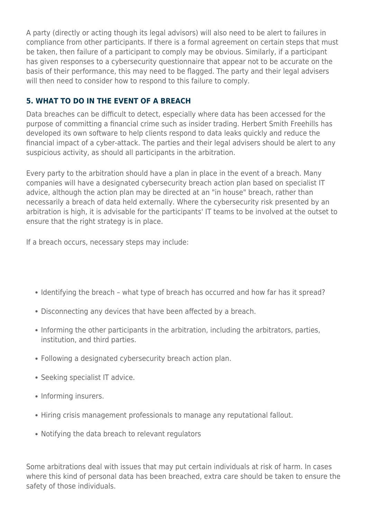A party (directly or acting though its legal advisors) will also need to be alert to failures in compliance from other participants. If there is a formal agreement on certain steps that must be taken, then failure of a participant to comply may be obvious. Similarly, if a participant has given responses to a cybersecurity questionnaire that appear not to be accurate on the basis of their performance, this may need to be flagged. The party and their legal advisers will then need to consider how to respond to this failure to comply.

### **5. WHAT TO DO IN THE EVENT OF A BREACH**

Data breaches can be difficult to detect, especially where data has been accessed for the purpose of committing a financial crime such as insider trading. Herbert Smith Freehills has developed its own software to help clients respond to data leaks quickly and reduce the financial impact of a cyber-attack. The parties and their legal advisers should be alert to any suspicious activity, as should all participants in the arbitration.

Every party to the arbitration should have a plan in place in the event of a breach. Many companies will have a designated cybersecurity breach action plan based on specialist IT advice, although the action plan may be directed at an "in house" breach, rather than necessarily a breach of data held externally. Where the cybersecurity risk presented by an arbitration is high, it is advisable for the participants' IT teams to be involved at the outset to ensure that the right strategy is in place.

If a breach occurs, necessary steps may include:

- Identifying the breach what type of breach has occurred and how far has it spread?
- Disconnecting any devices that have been affected by a breach.
- Informing the other participants in the arbitration, including the arbitrators, parties, institution, and third parties.
- Following a designated cybersecurity breach action plan.
- Seeking specialist IT advice.
- Informing insurers.
- Hiring crisis management professionals to manage any reputational fallout.
- Notifying the data breach to relevant regulators

Some arbitrations deal with issues that may put certain individuals at risk of harm. In cases where this kind of personal data has been breached, extra care should be taken to ensure the safety of those individuals.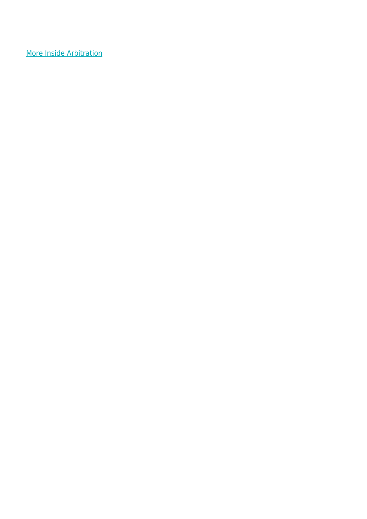[More Inside Arbitration](https://www.herbertsmithfreehills.com/latest-thinking/inside-arbitration)